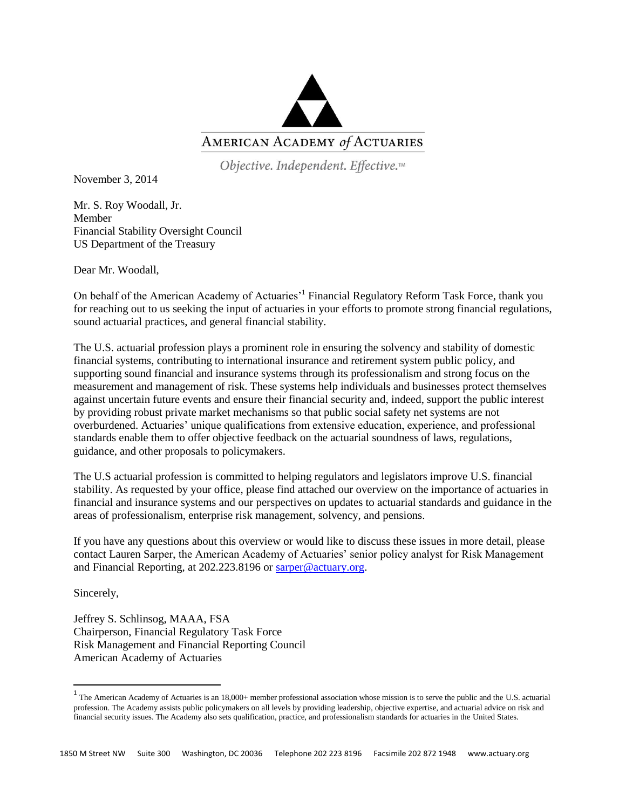

Objective. Independent. Effective.™

November 3, 2014

Mr. S. Roy Woodall, Jr. Member Financial Stability Oversight Council US Department of the Treasury

Dear Mr. Woodall,

On behalf of the American Academy of Actuaries<sup>'1</sup> Financial Regulatory Reform Task Force, thank you for reaching out to us seeking the input of actuaries in your efforts to promote strong financial regulations, sound actuarial practices, and general financial stability.

The U.S. actuarial profession plays a prominent role in ensuring the solvency and stability of domestic financial systems, contributing to international insurance and retirement system public policy, and supporting sound financial and insurance systems through its professionalism and strong focus on the measurement and management of risk. These systems help individuals and businesses protect themselves against uncertain future events and ensure their financial security and, indeed, support the public interest by providing robust private market mechanisms so that public social safety net systems are not overburdened. Actuaries' unique qualifications from extensive education, experience, and professional standards enable them to offer objective feedback on the actuarial soundness of laws, regulations, guidance, and other proposals to policymakers.

The U.S actuarial profession is committed to helping regulators and legislators improve U.S. financial stability. As requested by your office, please find attached our overview on the importance of actuaries in financial and insurance systems and our perspectives on updates to actuarial standards and guidance in the areas of professionalism, enterprise risk management, solvency, and pensions.

If you have any questions about this overview or would like to discuss these issues in more detail, please contact Lauren Sarper, the American Academy of Actuaries' senior policy analyst for Risk Management and Financial Reporting, at 202.223.8196 or [sarper@actuary.org.](mailto:sarper@actuary.org)

Sincerely,

Jeffrey S. Schlinsog, MAAA, FSA Chairperson, Financial Regulatory Task Force Risk Management and Financial Reporting Council American Academy of Actuaries

<sup>&</sup>lt;sup>1</sup> The American Academy of Actuaries is an 18,000+ member professional association whose mission is to serve the public and the U.S. actuarial <sup>1</sup> profession. The Academy assists public policymakers on all levels by providing leadership, objective expertise, and actuarial advice on risk and financial security issues. The Academy also sets qualification, practice, and professionalism standards for actuaries in the United States.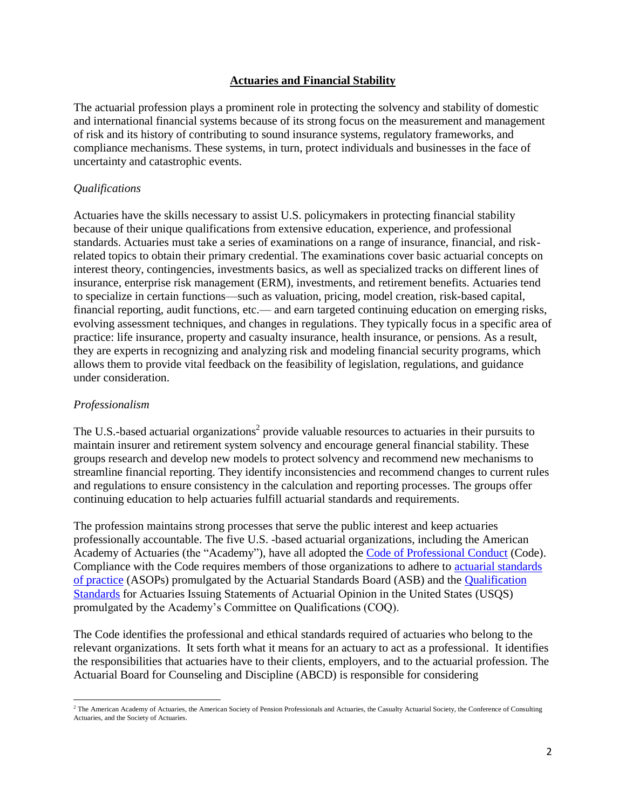### **Actuaries and Financial Stability**

The actuarial profession plays a prominent role in protecting the solvency and stability of domestic and international financial systems because of its strong focus on the measurement and management of risk and its history of contributing to sound insurance systems, regulatory frameworks, and compliance mechanisms. These systems, in turn, protect individuals and businesses in the face of uncertainty and catastrophic events.

## *Qualifications*

Actuaries have the skills necessary to assist U.S. policymakers in protecting financial stability because of their unique qualifications from extensive education, experience, and professional standards. Actuaries must take a series of examinations on a range of insurance, financial, and riskrelated topics to obtain their primary credential. The examinations cover basic actuarial concepts on interest theory, contingencies, investments basics, as well as specialized tracks on different lines of insurance, enterprise risk management (ERM), investments, and retirement benefits. Actuaries tend to specialize in certain functions—such as valuation, pricing, model creation, risk-based capital, financial reporting, audit functions, etc.— and earn targeted continuing education on emerging risks, evolving assessment techniques, and changes in regulations. They typically focus in a specific area of practice: life insurance, property and casualty insurance, health insurance, or pensions. As a result, they are experts in recognizing and analyzing risk and modeling financial security programs, which allows them to provide vital feedback on the feasibility of legislation, regulations, and guidance under consideration.

## *Professionalism*

 $\overline{\phantom{a}}$ 

The U.S.-based actuarial organizations<sup>2</sup> provide valuable resources to actuaries in their pursuits to maintain insurer and retirement system solvency and encourage general financial stability. These groups research and develop new models to protect solvency and recommend new mechanisms to streamline financial reporting. They identify inconsistencies and recommend changes to current rules and regulations to ensure consistency in the calculation and reporting processes. The groups offer continuing education to help actuaries fulfill actuarial standards and requirements.

The profession maintains strong processes that serve the public interest and keep actuaries professionally accountable. The five U.S. -based actuarial organizations, including the American Academy of Actuaries (the "Academy"), have all adopted the [Code of Professional Conduct](http://www.actuary.org/files/code_of_conduct.8_1.pdf) (Code). Compliance with the Code requires members of those organizations to adhere to [actuarial standards](http://www.actuarialstandardsboard.org/asops.asp)  [of practice](http://www.actuarialstandardsboard.org/asops.asp) (ASOPs) promulgated by the Actuarial Standards Board (ASB) and the [Qualification](http://www.actuary.org/files/qualification_standards.pdf)  [Standards](http://www.actuary.org/files/qualification_standards.pdf) for Actuaries Issuing Statements of Actuarial Opinion in the United States (USQS) promulgated by the Academy's Committee on Qualifications (COQ).

The Code identifies the professional and ethical standards required of actuaries who belong to the relevant organizations. It sets forth what it means for an actuary to act as a professional. It identifies the responsibilities that actuaries have to their clients, employers, and to the actuarial profession. The Actuarial Board for Counseling and Discipline (ABCD) is responsible for considering

<sup>&</sup>lt;sup>2</sup> The American Academy of Actuaries, the American Society of Pension Professionals and Actuaries, the Casualty Actuarial Society, the Conference of Consulting Actuaries, and the Society of Actuaries.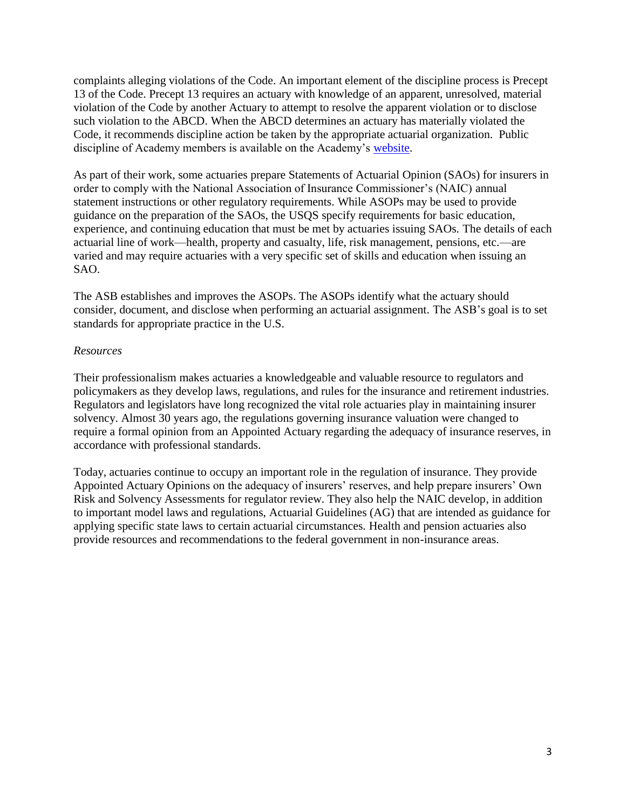complaints alleging violations of the Code. An important element of the discipline process is Precept 13 of the Code. Precept 13 requires an actuary with knowledge of an apparent, unresolved, material violation of the Code by another Actuary to attempt to resolve the apparent violation or to disclose such violation to the ABCD. When the ABCD determines an actuary has materially violated the Code, it recommends discipline action be taken by the appropriate actuarial organization. Public discipline of Academy members is available on the Academy's [website.](http://www.actuary.org/content/public-discipline)

As part of their work, some actuaries prepare Statements of Actuarial Opinion (SAOs) for insurers in order to comply with the National Association of Insurance Commissioner's (NAIC) annual statement instructions or other regulatory requirements. While ASOPs may be used to provide guidance on the preparation of the SAOs, the USQS specify requirements for basic education, experience, and continuing education that must be met by actuaries issuing SAOs. The details of each actuarial line of work—health, property and casualty, life, risk management, pensions, etc.—are varied and may require actuaries with a very specific set of skills and education when issuing an SAO.

The ASB establishes and improves the ASOPs. The ASOPs identify what the actuary should consider, document, and disclose when performing an actuarial assignment. The ASB's goal is to set standards for appropriate practice in the U.S.

#### *Resources*

Their professionalism makes actuaries a knowledgeable and valuable resource to regulators and policymakers as they develop laws, regulations, and rules for the insurance and retirement industries. Regulators and legislators have long recognized the vital role actuaries play in maintaining insurer solvency. Almost 30 years ago, the regulations governing insurance valuation were changed to require a formal opinion from an Appointed Actuary regarding the adequacy of insurance reserves, in accordance with professional standards.

Today, actuaries continue to occupy an important role in the regulation of insurance. They provide Appointed Actuary Opinions on the adequacy of insurers' reserves, and help prepare insurers' Own Risk and Solvency Assessments for regulator review. They also help the NAIC develop, in addition to important model laws and regulations, Actuarial Guidelines (AG) that are intended as guidance for applying specific state laws to certain actuarial circumstances. Health and pension actuaries also provide resources and recommendations to the federal government in non-insurance areas.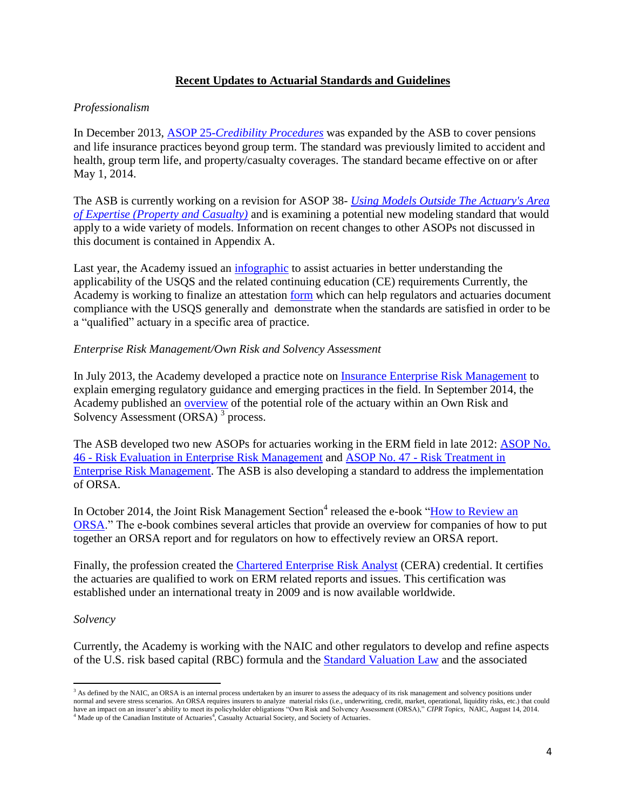## **Recent Updates to Actuarial Standards and Guidelines**

## *Professionalism*

In December 2013, ASOP 25-*[Credibility Procedures](http://www.actuarialstandardsboard.org/pdf/asops/asop025_174.pdf)* was expanded by the ASB to cover pensions and life insurance practices beyond group term. The standard was previously limited to accident and health, group term life, and property/casualty coverages. The standard became effective on or after May 1, 2014.

The ASB is currently working on a revision for ASOP 38- *[Using Models Outside The Actuary's Area](http://www.actuarialstandardsboard.org/pdf/asops/asop038_155.pdf)  [of Expertise \(Property and Casualty\)](http://www.actuarialstandardsboard.org/pdf/asops/asop038_155.pdf)* and is examining a potential new modeling standard that would apply to a wide variety of models. Information on recent changes to other ASOPs not discussed in this document is contained in Appendix A.

Last year, the Academy issued an *infographic* to assist actuaries in better understanding the applicability of the USQS and the related continuing education (CE) requirements Currently, the Academy is working to finalize an attestation [form](http://www.actuary.org/files/AAA_USQSAttestation2014FormDRAFT.pdf) which can help regulators and actuaries document compliance with the USQS generally and demonstrate when the standards are satisfied in order to be a "qualified" actuary in a specific area of practice.

#### *Enterprise Risk Management/Own Risk and Solvency Assessment*

In July 2013, the Academy developed a practice note on *Insurance Enterprise Risk Management* to explain emerging regulatory guidance and emerging practices in the field. In September 2014, the Academy published an [overview](http://actuary.org/files/ERM_Committee_Actuaries_and_ORSA_Overview_092614.pdf) of the potential role of the actuary within an Own Risk and Solvency Assessment (ORSA)<sup>3</sup> process.

The ASB developed two new ASOPs for actuaries working in the ERM field in late 2012: [ASOP No.](http://www.actuarialstandardsboard.org/pdf/asops/asop046_165.pdf)  46 - [Risk Evaluation in Enterprise Risk Management](http://www.actuarialstandardsboard.org/pdf/asops/asop046_165.pdf) and ASOP No. 47 - [Risk Treatment in](http://www.actuarialstandardsboard.org/pdf/asops/asop047_169.pdf)  [Enterprise Risk Management.](http://www.actuarialstandardsboard.org/pdf/asops/asop047_169.pdf) The ASB is also developing a standard to address the implementation of ORSA.

In October 2014, the Joint Risk Management Section<sup>4</sup> released the e-book "How to Review an [ORSA.](https://www.soa.org/Library/Essays/jrm-essay-ebook-how-orsa-2014-toc.aspx)" The e-book combines several articles that provide an overview for companies of how to put together an ORSA report and for regulators on how to effectively review an ORSA report.

Finally, the profession created the [Chartered Enterprise Risk Analyst](http://www.ceranalyst.org/) (CERA) credential. It certifies the actuaries are qualified to work on ERM related reports and issues. This certification was established under an international treaty in 2009 and is now available worldwide.

#### *Solvency*

 $\overline{\phantom{a}}$ 

Currently, the Academy is working with the NAIC and other regulators to develop and refine aspects of the U.S. risk based capital (RBC) formula and the [Standard Valuation Law](http://www.naic.org/store/free/MDL-820.pdf) and the associated

<sup>&</sup>lt;sup>3</sup> As defined by the NAIC, an ORSA is an internal process undertaken by an insurer to assess the adequacy of its risk management and solvency positions under normal and severe stress scenarios. An ORSA requires insurers to analyze material risks (i.e., underwriting, credit, market, operational, liquidity risks, etc.) that could have an impact on an insurer's ability to meet its policyholder obligations "Own Risk and Solvency Assessment (ORSA)," *CIPR Topics*, NAIC, August 14, 2014.  $4$  Made up of the Canadian Institute of Actuaries $4$ , Casualty Actuarial Society, and Society of Actuaries.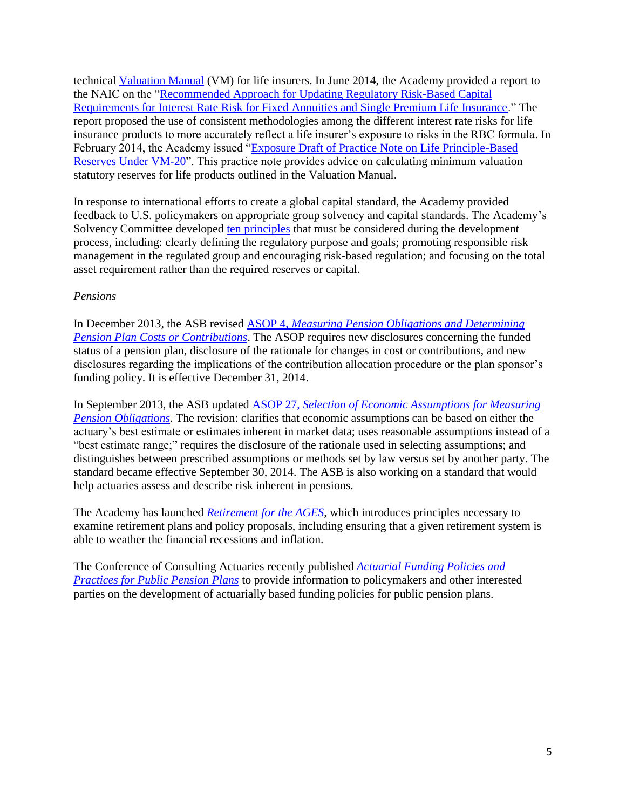technical [Valuation Manual](http://www.naic.org/documents/committees_a_latf_140331_valuation_manual.pdf) (VM) for life insurers. In June 2014, the Academy provided a report to the NAIC on the ["Recommended Approach for Updating Regulatory Risk-Based Capital](http://actuary.org/files/C3P1_Update_Report_6-13-14.pdf)  [Requirements for Interest Rate Risk for Fixed Annuities and Single Premium Life Insurance.](http://actuary.org/files/C3P1_Update_Report_6-13-14.pdf)" The report proposed the use of consistent methodologies among the different interest rate risks for life insurance products to more accurately reflect a life insurer's exposure to risks in the RBC formula. In February 2014, the Academy issued ["Exposure Draft of Practice Note on Life Principle-Based](http://www.actuary.org/files/VM-20_Practice_Note_Exposure_Draft_2-24-14.pdf)  [Reserves Under VM-20"](http://www.actuary.org/files/VM-20_Practice_Note_Exposure_Draft_2-24-14.pdf). This practice note provides advice on calculating minimum valuation statutory reserves for life products outlined in the Valuation Manual.

In response to international efforts to create a global capital standard, the Academy provided feedback to U.S. policymakers on appropriate group solvency and capital standards. The Academy's Solvency Committee developed [ten principles](http://actuary.org/files/Academy_Basic_Solvency_Principles_for_Regulators_to_NAIC_091814.pdf) that must be considered during the development process, including: clearly defining the regulatory purpose and goals; promoting responsible risk management in the regulated group and encouraging risk-based regulation; and focusing on the total asset requirement rather than the required reserves or capital.

## *Pensions*

In December 2013, the ASB revised ASOP 4, *[Measuring Pension Obligations and Determining](http://www.actuarialstandardsboard.org/pdf/asops/asop004_173.pdf)  [Pension Plan Costs or Contributions](http://www.actuarialstandardsboard.org/pdf/asops/asop004_173.pdf)*. The ASOP requires new disclosures concerning the funded status of a pension plan, disclosure of the rationale for changes in cost or contributions, and new disclosures regarding the implications of the contribution allocation procedure or the plan sponsor's funding policy. It is effective December 31, 2014.

In September 2013, the ASB updated ASOP 27, *[Selection of Economic Assumptions for Measuring](http://www.actuarialstandardsboard.org/pdf/asops/asop027_172.pdf)  [Pension Obligations](http://www.actuarialstandardsboard.org/pdf/asops/asop027_172.pdf)*. The revision: clarifies that economic assumptions can be based on either the actuary's best estimate or estimates inherent in market data; uses reasonable assumptions instead of a "best estimate range;" requires the disclosure of the rationale used in selecting assumptions; and distinguishes between prescribed assumptions or methods set by law versus set by another party. The standard became effective September 30, 2014. The ASB is also working on a standard that would help actuaries assess and describe risk inherent in pensions.

The Academy has launched *[Retirement for the AGES](http://www.actuary.org/Retirement-for-the-AGES)*, which introduces principles necessary to examine retirement plans and policy proposals, including ensuring that a given retirement system is able to weather the financial recessions and inflation.

The Conference of Consulting Actuaries recently published *[Actuarial Funding Policies and](http://www.ccactuaries.org/publications/news/CCA-PPC-White-Paper-on-Public-Pension-Funding-Policy.pdf)  [Practices for Public Pension Plans](http://www.ccactuaries.org/publications/news/CCA-PPC-White-Paper-on-Public-Pension-Funding-Policy.pdf)* to provide information to policymakers and other interested parties on the development of actuarially based funding policies for public pension plans.